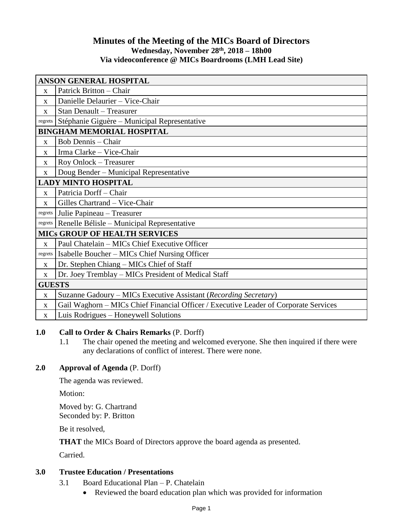## **Minutes of the Meeting of the MICs Board of Directors Wednesday, November 28 th , 2018 – 18h00 Via videoconference @ MICs Boardrooms (LMH Lead Site)**

| ANSON GENERAL HOSPITAL               |                                                                                      |
|--------------------------------------|--------------------------------------------------------------------------------------|
| $\mathbf{X}$                         | Patrick Britton - Chair                                                              |
| $\mathbf{x}$                         | Danielle Delaurier - Vice-Chair                                                      |
| $\mathbf X$                          | Stan Denault - Treasurer                                                             |
| regrets                              | Stéphanie Giguère – Municipal Representative                                         |
| <b>BINGHAM MEMORIAL HOSPITAL</b>     |                                                                                      |
| $\mathbf X$                          | <b>Bob Dennis - Chair</b>                                                            |
| X                                    | Irma Clarke - Vice-Chair                                                             |
| $\mathbf X$                          | Roy Onlock - Treasurer                                                               |
| $\mathbf X$                          | Doug Bender – Municipal Representative                                               |
| <b>LADY MINTO HOSPITAL</b>           |                                                                                      |
| $\mathbf{X}$                         | Patricia Dorff - Chair                                                               |
| X                                    | Gilles Chartrand - Vice-Chair                                                        |
| regrets                              | Julie Papineau - Treasurer                                                           |
| regrets                              | Renelle Bélisle – Municipal Representative                                           |
| <b>MICS GROUP OF HEALTH SERVICES</b> |                                                                                      |
| $\mathbf X$                          | Paul Chatelain - MICs Chief Executive Officer                                        |
| regrets                              | Isabelle Boucher - MICs Chief Nursing Officer                                        |
| $\mathbf{x}$                         | Dr. Stephen Chiang – MICs Chief of Staff                                             |
| X                                    | Dr. Joey Tremblay - MICs President of Medical Staff                                  |
| <b>GUESTS</b>                        |                                                                                      |
| $\mathbf X$                          | Suzanne Gadoury – MICs Executive Assistant (Recording Secretary)                     |
| $\mathbf X$                          | Gail Waghorn - MICs Chief Financial Officer / Executive Leader of Corporate Services |
| $\mathbf X$                          | Luis Rodrigues – Honeywell Solutions                                                 |

## **1.0 Call to Order & Chairs Remarks** (P. Dorff)

1.1 The chair opened the meeting and welcomed everyone. She then inquired if there were any declarations of conflict of interest. There were none.

## **2.0 Approval of Agenda** (P. Dorff)

The agenda was reviewed.

Motion:

Moved by: G. Chartrand Seconded by: P. Britton

Be it resolved,

**THAT** the MICs Board of Directors approve the board agenda as presented.

Carried.

## **3.0 Trustee Education / Presentations**

- 3.1 Board Educational Plan P. Chatelain
	- Reviewed the board education plan which was provided for information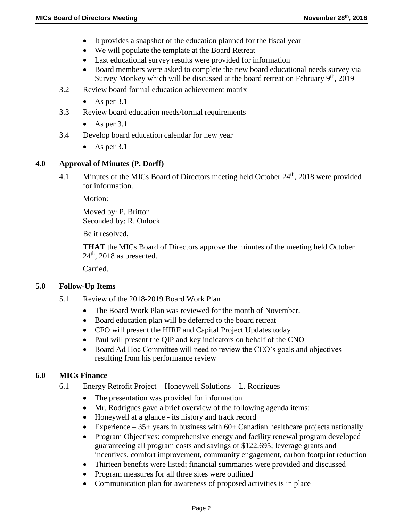- It provides a snapshot of the education planned for the fiscal year
- We will populate the template at the Board Retreat
- Last educational survey results were provided for information
- Board members were asked to complete the new board educational needs survey via Survey Monkey which will be discussed at the board retreat on February 9<sup>th</sup>, 2019
- 3.2 Review board formal education achievement matrix
	- As per  $3.1$
- 3.3 Review board education needs/formal requirements
	- As per  $3.1$
- 3.4 Develop board education calendar for new year
	- As per  $3.1$

### **4.0 Approval of Minutes (P. Dorff)**

4.1 Minutes of the MICs Board of Directors meeting held October 24<sup>th</sup>, 2018 were provided for information.

Motion:

Moved by: P. Britton Seconded by: R. Onlock

Be it resolved,

**THAT** the MICs Board of Directors approve the minutes of the meeting held October  $24<sup>th</sup>$ , 2018 as presented.

Carried.

### **5.0 Follow-Up Items**

- 5.1 Review of the 2018-2019 Board Work Plan
	- The Board Work Plan was reviewed for the month of November.
	- Board education plan will be deferred to the board retreat
	- CFO will present the HIRF and Capital Project Updates today
	- Paul will present the QIP and key indicators on behalf of the CNO
	- Board Ad Hoc Committee will need to review the CEO's goals and objectives resulting from his performance review

### **6.0 MICs Finance**

- 6.1 Energy Retrofit Project Honeywell Solutions L. Rodrigues
	- The presentation was provided for information
	- Mr. Rodrigues gave a brief overview of the following agenda items:
	- Honeywell at a glance its history and track record
	- Experience  $35+$  years in business with  $60+$  Canadian healthcare projects nationally
	- Program Objectives: comprehensive energy and facility renewal program developed guaranteeing all program costs and savings of \$122,695; leverage grants and incentives, comfort improvement, community engagement, carbon footprint reduction
	- Thirteen benefits were listed; financial summaries were provided and discussed
	- Program measures for all three sites were outlined
	- Communication plan for awareness of proposed activities is in place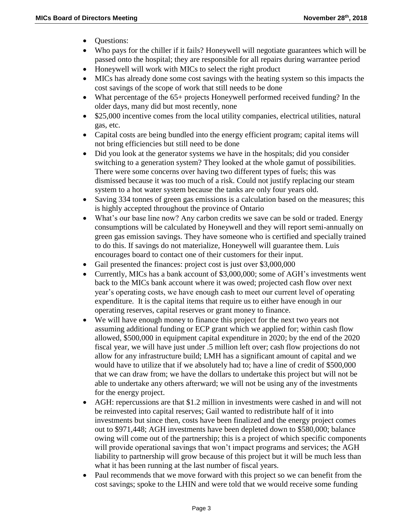- Ouestions:
- Who pays for the chiller if it fails? Honeywell will negotiate guarantees which will be passed onto the hospital; they are responsible for all repairs during warrantee period
- Honeywell will work with MICs to select the right product
- MICs has already done some cost savings with the heating system so this impacts the cost savings of the scope of work that still needs to be done
- What percentage of the 65+ projects Honeywell performed received funding? In the older days, many did but most recently, none
- \$25,000 incentive comes from the local utility companies, electrical utilities, natural gas, etc.
- Capital costs are being bundled into the energy efficient program; capital items will not bring efficiencies but still need to be done
- Did you look at the generator systems we have in the hospitals; did you consider switching to a generation system? They looked at the whole gamut of possibilities. There were some concerns over having two different types of fuels; this was dismissed because it was too much of a risk. Could not justify replacing our steam system to a hot water system because the tanks are only four years old.
- Saving 334 tonnes of green gas emissions is a calculation based on the measures; this is highly accepted throughout the province of Ontario
- What's our base line now? Any carbon credits we save can be sold or traded. Energy consumptions will be calculated by Honeywell and they will report semi-annually on green gas emission savings. They have someone who is certified and specially trained to do this. If savings do not materialize, Honeywell will guarantee them. Luis encourages board to contact one of their customers for their input.
- Gail presented the finances: project cost is just over \$3,000,000
- Currently, MICs has a bank account of \$3,000,000; some of AGH's investments went back to the MICs bank account where it was owed; projected cash flow over next year's operating costs, we have enough cash to meet our current level of operating expenditure. It is the capital items that require us to either have enough in our operating reserves, capital reserves or grant money to finance.
- We will have enough money to finance this project for the next two years not assuming additional funding or ECP grant which we applied for; within cash flow allowed, \$500,000 in equipment capital expenditure in 2020; by the end of the 2020 fiscal year, we will have just under .5 million left over; cash flow projections do not allow for any infrastructure build; LMH has a significant amount of capital and we would have to utilize that if we absolutely had to; have a line of credit of \$500,000 that we can draw from; we have the dollars to undertake this project but will not be able to undertake any others afterward; we will not be using any of the investments for the energy project.
- AGH: repercussions are that \$1.2 million in investments were cashed in and will not be reinvested into capital reserves; Gail wanted to redistribute half of it into investments but since then, costs have been finalized and the energy project comes out to \$971,448; AGH investments have been depleted down to \$580,000; balance owing will come out of the partnership; this is a project of which specific components will provide operational savings that won't impact programs and services; the AGH liability to partnership will grow because of this project but it will be much less than what it has been running at the last number of fiscal years.
- Paul recommends that we move forward with this project so we can benefit from the cost savings; spoke to the LHIN and were told that we would receive some funding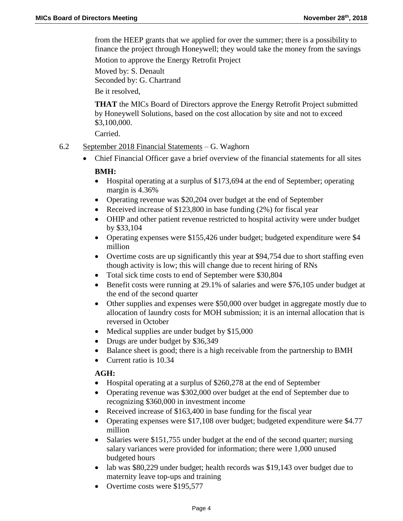from the HEEP grants that we applied for over the summer; there is a possibility to finance the project through Honeywell; they would take the money from the savings Motion to approve the Energy Retrofit Project

Moved by: S. Denault Seconded by: G. Chartrand Be it resolved,

**THAT** the MICs Board of Directors approve the Energy Retrofit Project submitted by Honeywell Solutions, based on the cost allocation by site and not to exceed \$3,100,000.

Carried.

- 6.2 September 2018 Financial Statements G. Waghorn
	- Chief Financial Officer gave a brief overview of the financial statements for all sites

### **BMH:**

- Hospital operating at a surplus of \$173,694 at the end of September; operating margin is 4.36%
- Operating revenue was \$20,204 over budget at the end of September
- Received increase of \$123,800 in base funding (2%) for fiscal year
- OHIP and other patient revenue restricted to hospital activity were under budget by \$33,104
- Operating expenses were \$155,426 under budget; budgeted expenditure were \$4 million
- Overtime costs are up significantly this year at \$94,754 due to short staffing even though activity is low; this will change due to recent hiring of RNs
- Total sick time costs to end of September were \$30,804
- Benefit costs were running at 29.1% of salaries and were \$76,105 under budget at the end of the second quarter
- Other supplies and expenses were \$50,000 over budget in aggregate mostly due to allocation of laundry costs for MOH submission; it is an internal allocation that is reversed in October
- Medical supplies are under budget by \$15,000
- Drugs are under budget by \$36,349
- Balance sheet is good; there is a high receivable from the partnership to BMH
- Current ratio is 10.34

## **AGH:**

- Hospital operating at a surplus of \$260,278 at the end of September
- Operating revenue was \$302,000 over budget at the end of September due to recognizing \$360,000 in investment income
- Received increase of \$163,400 in base funding for the fiscal year
- Operating expenses were \$17,108 over budget; budgeted expenditure were \$4.77 million
- Salaries were \$151,755 under budget at the end of the second quarter; nursing salary variances were provided for information; there were 1,000 unused budgeted hours
- lab was \$80,229 under budget; health records was \$19,143 over budget due to maternity leave top-ups and training
- Overtime costs were \$195,577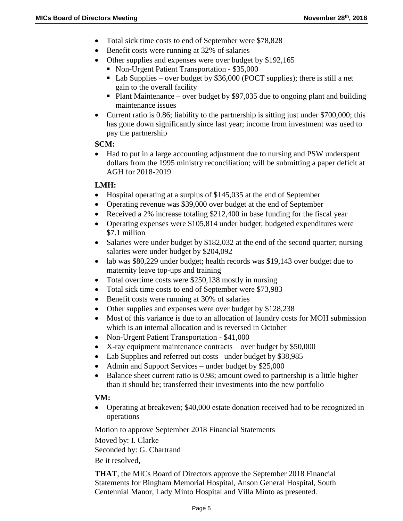- Total sick time costs to end of September were \$78,828
- Benefit costs were running at 32% of salaries
- Other supplies and expenses were over budget by \$192,165
	- Non-Urgent Patient Transportation \$35,000
	- Lab Supplies over budget by  $$36,000$  (POCT supplies); there is still a net gain to the overall facility
	- Plant Maintenance over budget by \$97,035 due to ongoing plant and building maintenance issues
- Current ratio is 0.86; liability to the partnership is sitting just under \$700,000; this has gone down significantly since last year; income from investment was used to pay the partnership

#### **SCM:**

 Had to put in a large accounting adjustment due to nursing and PSW underspent dollars from the 1995 ministry reconciliation; will be submitting a paper deficit at AGH for 2018-2019

### **LMH:**

- Hospital operating at a surplus of \$145,035 at the end of September
- Operating revenue was \$39,000 over budget at the end of September
- Received a 2% increase totaling \$212,400 in base funding for the fiscal year
- Operating expenses were \$105,814 under budget; budgeted expenditures were \$7.1 million
- Salaries were under budget by \$182,032 at the end of the second quarter; nursing salaries were under budget by \$204,092
- lab was \$80,229 under budget; health records was \$19,143 over budget due to maternity leave top-ups and training
- Total overtime costs were \$250,138 mostly in nursing
- Total sick time costs to end of September were \$73,983
- Benefit costs were running at 30% of salaries
- Other supplies and expenses were over budget by \$128,238
- Most of this variance is due to an allocation of laundry costs for MOH submission which is an internal allocation and is reversed in October
- Non-Urgent Patient Transportation \$41,000
- X-ray equipment maintenance contracts over budget by \$50,000
- Lab Supplies and referred out costs– under budget by \$38,985
- Admin and Support Services under budget by \$25,000
- Balance sheet current ratio is 0.98; amount owed to partnership is a little higher than it should be; transferred their investments into the new portfolio

### **VM:**

 Operating at breakeven; \$40,000 estate donation received had to be recognized in operations

Motion to approve September 2018 Financial Statements

Moved by: I. Clarke

Seconded by: G. Chartrand

Be it resolved,

**THAT**, the MICs Board of Directors approve the September 2018 Financial Statements for Bingham Memorial Hospital, Anson General Hospital, South Centennial Manor, Lady Minto Hospital and Villa Minto as presented.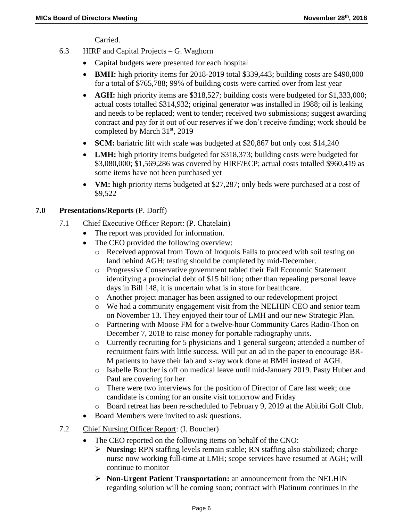Carried.

- 6.3 HIRF and Capital Projects G. Waghorn
	- Capital budgets were presented for each hospital
	- **BMH:** high priority items for 2018-2019 total \$339,443; building costs are \$490,000 for a total of \$765,788; 99% of building costs were carried over from last year
	- **AGH:** high priority items are \$318,527; building costs were budgeted for \$1,333,000; actual costs totalled \$314,932; original generator was installed in 1988; oil is leaking and needs to be replaced; went to tender; received two submissions; suggest awarding contract and pay for it out of our reserves if we don't receive funding; work should be completed by March 31st, 2019
	- **SCM:** bariatric lift with scale was budgeted at \$20,867 but only cost \$14,240
	- **LMH:** high priority items budgeted for \$318,373; building costs were budgeted for \$3,080,000; \$1,569,286 was covered by HIRF/ECP; actual costs totalled \$960,419 as some items have not been purchased yet
	- **VM:** high priority items budgeted at \$27,287; only beds were purchased at a cost of \$9,522

## **7.0 Presentations/Reports** (P. Dorff)

- 7.1 Chief Executive Officer Report: (P. Chatelain)
	- The report was provided for information.
	- The CEO provided the following overview:
		- o Received approval from Town of Iroquois Falls to proceed with soil testing on land behind AGH; testing should be completed by mid-December.
		- o Progressive Conservative government tabled their Fall Economic Statement identifying a provincial debt of \$15 billion; other than repealing personal leave days in Bill 148, it is uncertain what is in store for healthcare.
		- o Another project manager has been assigned to our redevelopment project
		- o We had a community engagement visit from the NELHIN CEO and senior team on November 13. They enjoyed their tour of LMH and our new Strategic Plan.
		- o Partnering with Moose FM for a twelve-hour Community Cares Radio-Thon on December 7, 2018 to raise money for portable radiography units.
		- o Currently recruiting for 5 physicians and 1 general surgeon; attended a number of recruitment fairs with little success. Will put an ad in the paper to encourage BR-M patients to have their lab and x-ray work done at BMH instead of AGH.
		- o Isabelle Boucher is off on medical leave until mid-January 2019. Pasty Huber and Paul are covering for her.
		- o There were two interviews for the position of Director of Care last week; one candidate is coming for an onsite visit tomorrow and Friday
		- o Board retreat has been re-scheduled to February 9, 2019 at the Abitibi Golf Club.
	- Board Members were invited to ask questions.
- 7.2 Chief Nursing Officer Report: (I. Boucher)
	- The CEO reported on the following items on behalf of the CNO:
		- **Nursing:** RPN staffing levels remain stable; RN staffing also stabilized; charge nurse now working full-time at LMH; scope services have resumed at AGH; will continue to monitor
		- **Non-Urgent Patient Transportation:** an announcement from the NELHIN regarding solution will be coming soon; contract with Platinum continues in the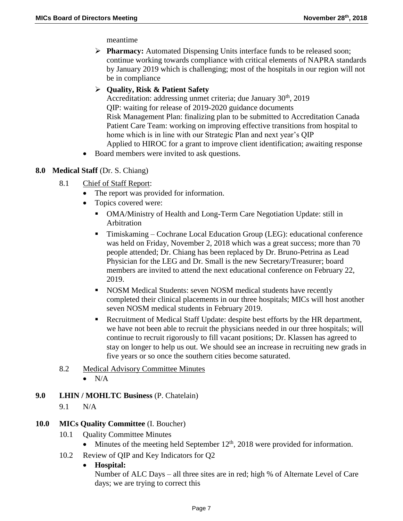meantime

**Pharmacy:** Automated Dispensing Units interface funds to be released soon; continue working towards compliance with critical elements of NAPRA standards by January 2019 which is challenging; most of the hospitals in our region will not be in compliance

## **Quality, Risk & Patient Safety**

Accreditation: addressing unmet criteria; due January  $30<sup>th</sup>$ , 2019 QIP: waiting for release of 2019-2020 guidance documents Risk Management Plan: finalizing plan to be submitted to Accreditation Canada Patient Care Team: working on improving effective transitions from hospital to home which is in line with our Strategic Plan and next year's QIP Applied to HIROC for a grant to improve client identification; awaiting response

• Board members were invited to ask questions.

## **8.0 Medical Staff** (Dr. S. Chiang)

- 8.1 Chief of Staff Report:
	- The report was provided for information.
	- Topics covered were:
		- OMA/Ministry of Health and Long-Term Care Negotiation Update: still in Arbitration
		- Timiskaming Cochrane Local Education Group (LEG): educational conference was held on Friday, November 2, 2018 which was a great success; more than 70 people attended; Dr. Chiang has been replaced by Dr. Bruno-Petrina as Lead Physician for the LEG and Dr. Small is the new Secretary/Treasurer; board members are invited to attend the next educational conference on February 22, 2019.
		- NOSM Medical Students: seven NOSM medical students have recently completed their clinical placements in our three hospitals; MICs will host another seven NOSM medical students in February 2019.
		- Recruitment of Medical Staff Update: despite best efforts by the HR department, we have not been able to recruit the physicians needed in our three hospitals; will continue to recruit rigorously to fill vacant positions; Dr. Klassen has agreed to stay on longer to help us out. We should see an increase in recruiting new grads in five years or so once the southern cities become saturated.
- 8.2 Medical Advisory Committee Minutes
	- $\bullet$  N/A
- **9.0 LHIN / MOHLTC Business** (P. Chatelain)
	- 9.1 N/A

## **10.0 MICs Quality Committee** (I. Boucher)

- 10.1 Quality Committee Minutes
	- Minutes of the meeting held September  $12<sup>th</sup>$ , 2018 were provided for information.
- 10.2 Review of QIP and Key Indicators for Q2

### **Hospital:**

Number of ALC Days – all three sites are in red; high % of Alternate Level of Care days; we are trying to correct this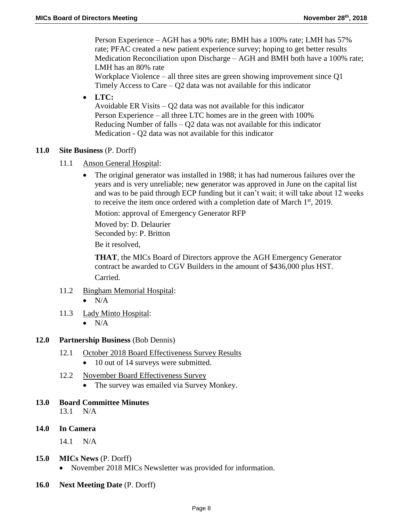Person Experience – AGH has a 90% rate; BMH has a 100% rate; LMH has 57% rate; PFAC created a new patient experience survey; hoping to get better results Medication Reconciliation upon Discharge – AGH and BMH both have a 100% rate; LMH has an 80% rate

Workplace Violence – all three sites are green showing improvement since Q1 Timely Access to Care  $-$  Q2 data was not available for this indicator

**LTC:** 

Avoidable ER Visits – Q2 data was not available for this indicator Person Experience – all three LTC homes are in the green with 100% Reducing Number of falls – Q2 data was not available for this indicator Medication - Q2 data was not available for this indicator

### **11.0 Site Business** (P. Dorff)

- 11.1 Anson General Hospital:
	- The original generator was installed in 1988; it has had numerous failures over the years and is very unreliable; new generator was approved in June on the capital list and was to be paid through ECP funding but it can't wait; it will take about 12 weeks to receive the item once ordered with a completion date of March  $1<sup>st</sup>$ , 2019.

Motion: approval of Emergency Generator RFP

Moved by: D. Delaurier Seconded by: P. Britton

Be it resolved,

**THAT**, the MICs Board of Directors approve the AGH Emergency Generator contract be awarded to CGV Builders in the amount of \$436,000 plus HST. Carried.

- 11.2 Bingham Memorial Hospital:
	- $\bullet$  N/A
- 11.3 Lady Minto Hospital:
	- $\bullet$  N/A

### **12.0 Partnership Business** (Bob Dennis)

- 12.1 October 2018 Board Effectiveness Survey Results
	- 10 out of 14 surveys were submitted.
- 12.2 November Board Effectiveness Survey
	- The survey was emailed via Survey Monkey.

### **13.0 Board Committee Minutes**

13.1 N/A

**14.0 In Camera**

14.1 N/A

- **15.0 MICs News** (P. Dorff)
	- November 2018 MICs Newsletter was provided for information.
- **16.0 Next Meeting Date** (P. Dorff)